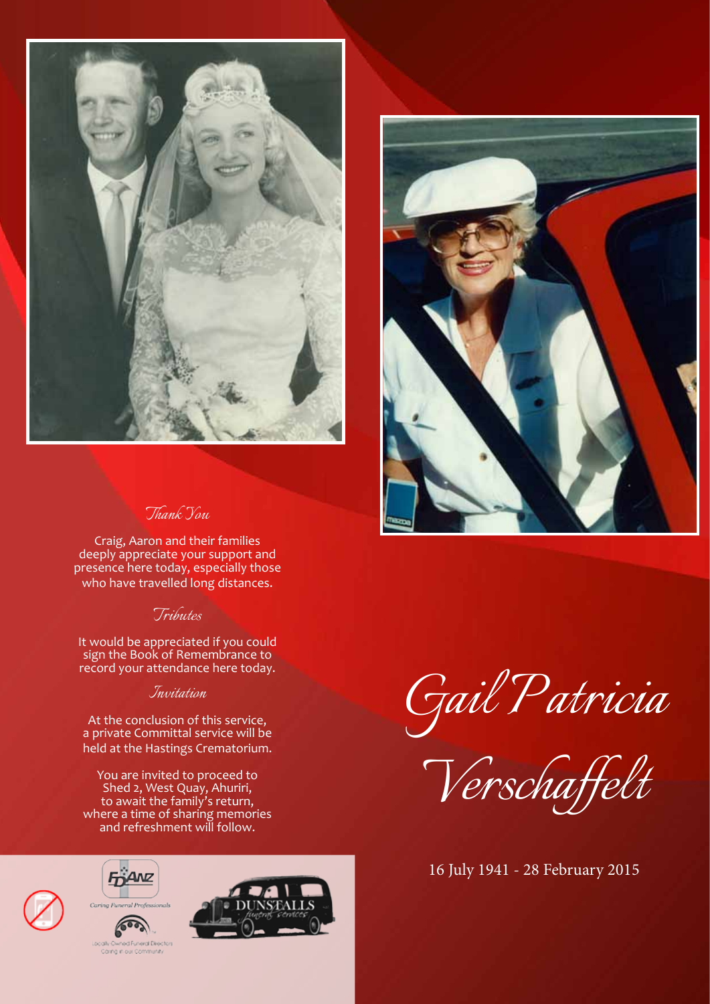

# *Thank You*

Craig, Aaron and their families deeply appreciate your support and presence here today, especially those who have travelled long distances.

### *Tributes*

It would be appreciated if you could sign the Book of Remembrance to record your attendance here today.

#### *Invitation*

At the conclusion of this service, a private Committal service will be held at the Hastings Crematorium.

You are invited to proceed to Shed 2, West Quay, Ahuriri, to await the family's return, where a time of sharing memories and refreshment will follow.









*Verschaffelt*

16 July 1941 - 28 February 2015